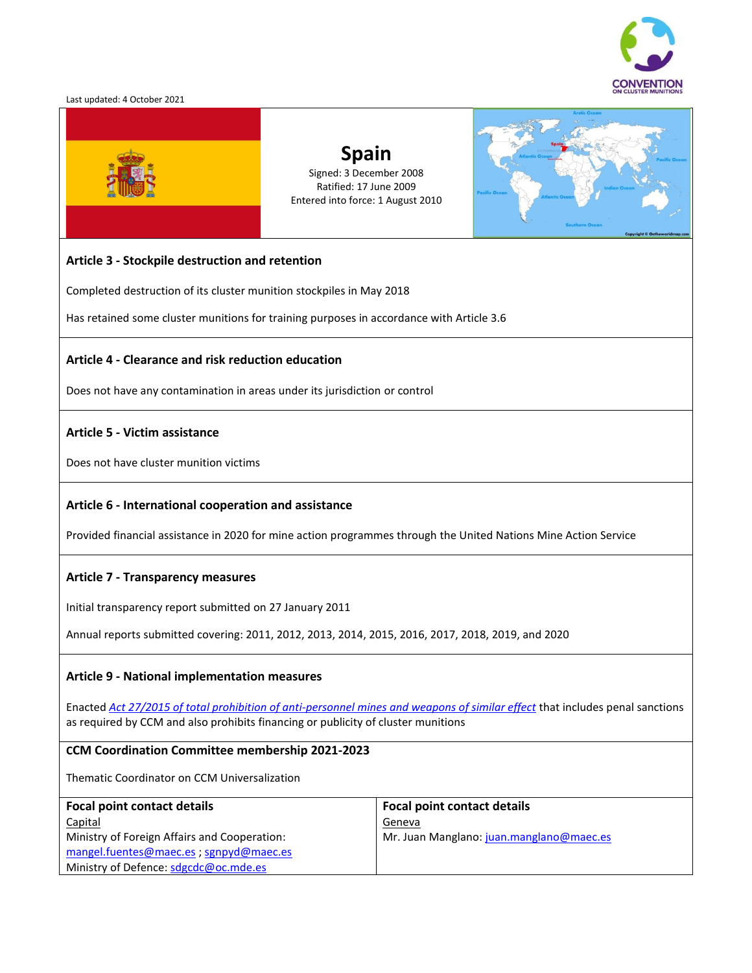

#### Last updated: 4 October 2021



# **Spain** Signed: 3 December 2008 Ratified: 17 June 2009 Entered into force: 1 August 2010



## **Article 3 - Stockpile destruction and retention**

Completed destruction of its cluster munition stockpiles in May 2018

Has retained some cluster munitions for training purposes in accordance with Article 3.6

#### **Article 4 - Clearance and risk reduction education**

Does not have any contamination in areas under its jurisdiction or control

## **Article 5 - Victim assistance**

Does not have cluster munition victims

## **Article 6 - International cooperation and assistance**

Provided financial assistance in 2020 for mine action programmes through the United Nations Mine Action Service

#### **Article 7 - Transparency measures**

Initial transparency report submitted on 27 January 2011

Annual reports submitted covering: 2011, 2012, 2013, 2014, 2015, 2016, 2017, 2018, 2019, and 2020

## **Article 9 - National implementation measures**

Enacted *[Act 27/2015 of total prohibition of anti-personnel mines and weapons of similar effect](http://www.clusterconvention.org/wp-content/uploads/2018/10/Spain.pdf)* that includes penal sanctions as required by CCM and also prohibits financing or publicity of cluster munitions

#### **CCM Coordination Committee membership 2021-2023**

Thematic Coordinator on CCM Universalization

| <b>Focal point contact details</b>           | <b>Focal point contact details</b>       |
|----------------------------------------------|------------------------------------------|
| <b>Capital</b>                               | Geneva                                   |
| Ministry of Foreign Affairs and Cooperation: | Mr. Juan Manglano: juan.manglano@maec.es |
| mangel.fuentes@maec.es ; sgnpyd@maec.es      |                                          |
| Ministry of Defence: sdgcdc@oc.mde.es        |                                          |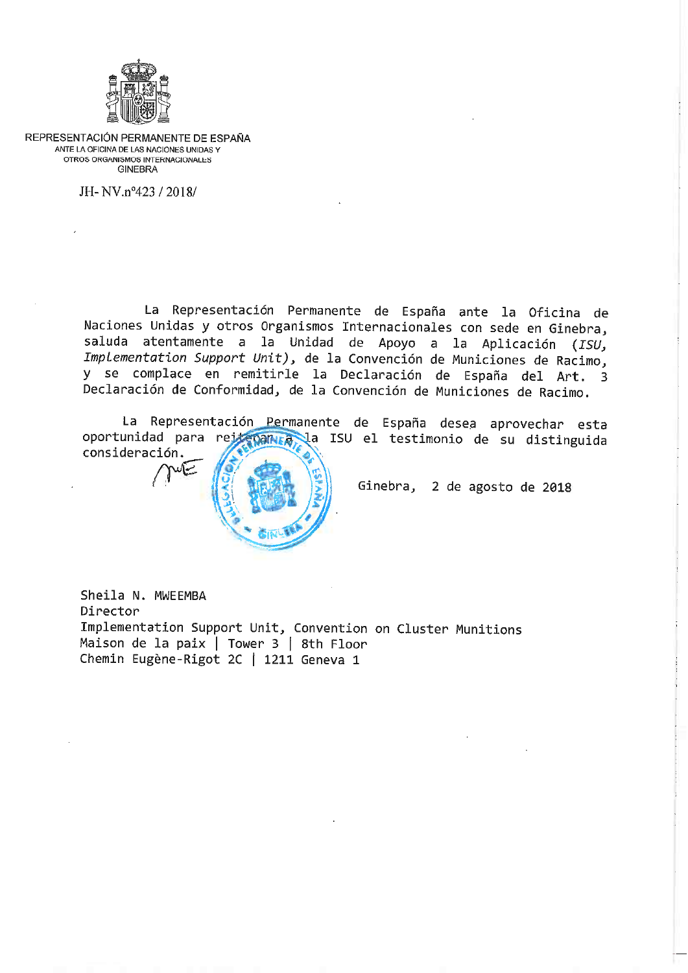

REPRESENTACIÓN PERMANENTE DE ESPAÑA ANTE LA OFICINA DE LAS NACIONES UNIDAS Y OTROS ORGANISMOS INTERNACIONALES **GINEBRA** 

JH-NV.nº423 / 2018/

La Representación Permanente de España ante la Oficina de Naciones Unidas y otros Organismos Internacionales con sede en Ginebra, saluda atentamente a la Unidad de Apoyo a la Aplicación (ISU, Implementation Support Unit), de la Convención de Municiones de Racimo, y se complace en remitirle la Declaración de España del Art. 3 Declaración de Conformidad, de la Convención de Municiones de Racimo.

La Representación Permanente de España desea aprovechar esta oportunidad para rejetomna la ISU el testimonio de su distinguida consideración.



Ginebra, 2 de agosto de 2018

Sheila N. MWEEMBA Director Implementation Support Unit, Convention on Cluster Munitions Maison de la paix | Tower 3 | 8th Floor Chemin Eugène-Rigot 2C | 1211 Geneva 1